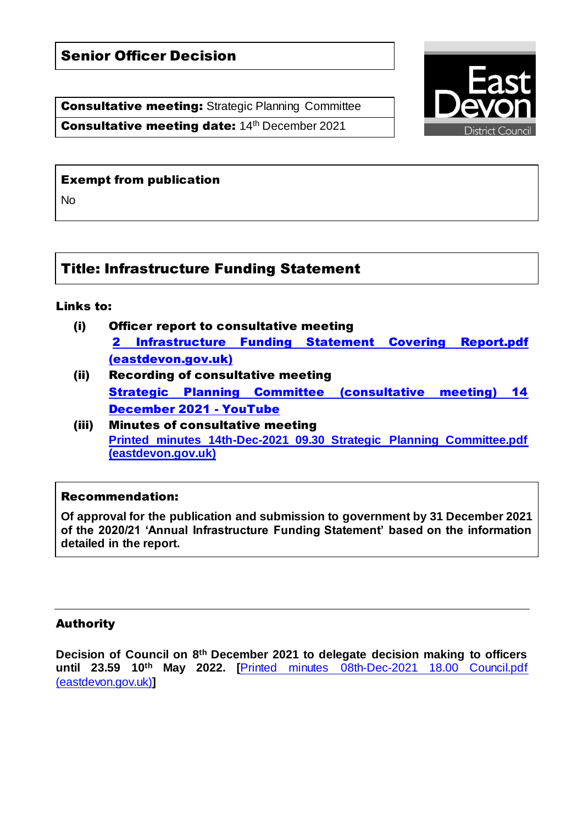# Senior Officer Decision

**Consultative meeting: Strategic Planning Committee** Consultative meeting date: 14th December 2021



### Exempt from publication

No

# Title: Infrastructure Funding Statement

### Links to:

- (i) Officer report to consultative meeting [2 Infrastructure Funding Statement Covering Report.pdf](https://democracy.eastdevon.gov.uk/documents/s14502/2%20Infrastructure%20Funding%20Statement%20Covering%20Report.pdf)  [\(eastdevon.gov.uk\)](https://democracy.eastdevon.gov.uk/documents/s14502/2%20Infrastructure%20Funding%20Statement%20Covering%20Report.pdf)
- (ii) Recording of consultative meeting [Strategic Planning Committee \(consultative meeting\) 14](https://www.youtube.com/watch?v=GhoWAEcHUe4)  [December 2021 -](https://www.youtube.com/watch?v=GhoWAEcHUe4) YouTube
- (iii) Minutes of consultative meeting **[Printed minutes 14th-Dec-2021 09.30 Strategic Planning Committee.pdf](https://democracy.eastdevon.gov.uk/documents/g1671/Printed%20minutes%2014th-Dec-2021%2009.30%20Strategic%20Planning%20Committee.pdf?T=1)  [\(eastdevon.gov.uk\)](https://democracy.eastdevon.gov.uk/documents/g1671/Printed%20minutes%2014th-Dec-2021%2009.30%20Strategic%20Planning%20Committee.pdf?T=1)**

### Recommendation:

**Of approval for the publication and submission to government by 31 December 2021 of the 2020/21 'Annual Infrastructure Funding Statement' based on the information detailed in the report.**

### Authority

**Decision of Council on 8 th December 2021 to delegate decision making to officers until 23.59 10th May 2022. [**[Printed minutes 08th-Dec-2021 18.00 Council.pdf](https://democracy.eastdevon.gov.uk/documents/g1734/Printed%20minutes%2008th-Dec-2021%2018.00%20Council.pdf?T=1)  [\(eastdevon.gov.uk\)](https://democracy.eastdevon.gov.uk/documents/g1734/Printed%20minutes%2008th-Dec-2021%2018.00%20Council.pdf?T=1)**]**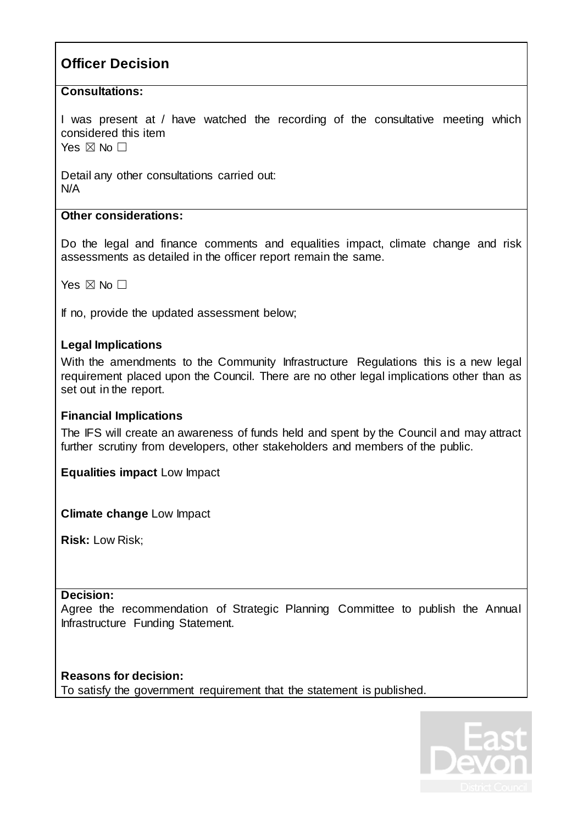# **Officer Decision**

## **Consultations:**

I was present at / have watched the recording of the consultative meeting which considered this item Yes  $\boxtimes$  No  $\Box$ 

Detail any other consultations carried out: N/A

### **Other considerations:**

Do the legal and finance comments and equalities impact, climate change and risk assessments as detailed in the officer report remain the same.

Yes  $\boxtimes$  No  $\Box$ 

If no, provide the updated assessment below;

## **Legal Implications**

With the amendments to the Community Infrastructure Regulations this is a new legal requirement placed upon the Council. There are no other legal implications other than as set out in the report.

### **Financial Implications**

The IFS will create an awareness of funds held and spent by the Council and may attract further scrutiny from developers, other stakeholders and members of the public.

**Equalities impact** Low Impact

**Climate change** Low Impact

**Risk: Low Risk:** 

### **Decision:**

Agree the recommendation of Strategic Planning Committee to publish the Annual Infrastructure Funding Statement.

**Reasons for decision:** To satisfy the government requirement that the statement is published.